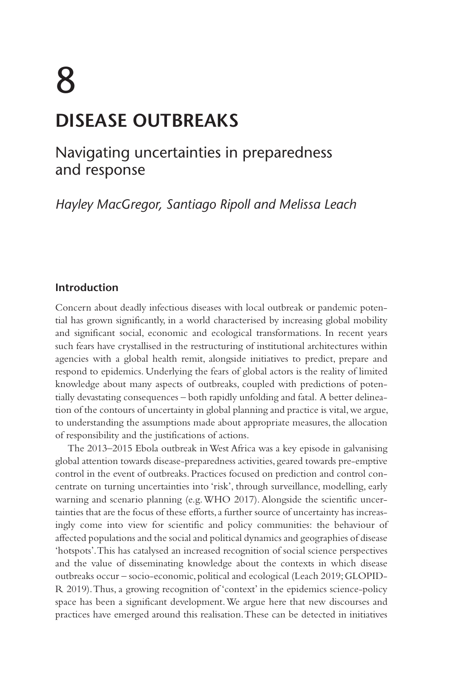# 8 **DISEASE OUTBREAKS**

## Navigating uncertainties in preparedness and response

*Hayley MacGregor, Santiago Ripoll and Melissa Leach*

#### **Introduction**

Concern about deadly infectious diseases with local outbreak or pandemic potential has grown significantly, in a world characterised by increasing global mobility and significant social, economic and ecological transformations. In recent years such fears have crystallised in the restructuring of institutional architectures within agencies with a global health remit, alongside initiatives to predict, prepare and respond to epidemics. Underlying the fears of global actors is the reality of limited knowledge about many aspects of outbreaks, coupled with predictions of potentially devastating consequences – both rapidly unfolding and fatal. A better delineation of the contours of uncertainty in global planning and practice is vital, we argue, to understanding the assumptions made about appropriate measures, the allocation of responsibility and the justifications of actions.

The 2013–2015 Ebola outbreak in West Africa was a key episode in galvanising global attention towards disease-preparedness activities, geared towards pre-emptive control in the event of outbreaks. Practices focused on prediction and control concentrate on turning uncertainties into 'risk', through surveillance, modelling, early warning and scenario planning (e.g. WHO 2017). Alongside the scientific uncertainties that are the focus of these efforts, a further source of uncertainty has increasingly come into view for scientific and policy communities: the behaviour of affected populations and the social and political dynamics and geographies of disease 'hotspots'. This has catalysed an increased recognition of social science perspectives and the value of disseminating knowledge about the contexts in which disease outbreaks occur – socio-economic, political and ecological (Leach 2019; GLOPID-R 2019). Thus, a growing recognition of 'context' in the epidemics science-policy space has been a significant development. We argue here that new discourses and practices have emerged around this realisation. These can be detected in initiatives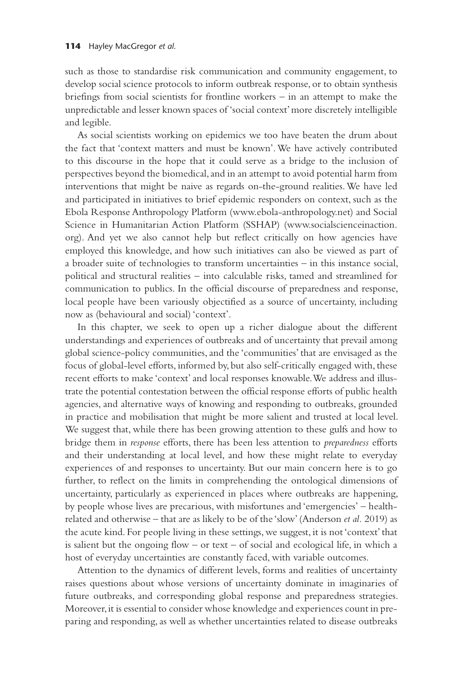such as those to standardise risk communication and community engagement, to develop social science protocols to inform outbreak response, or to obtain synthesis briefings from social scientists for frontline workers – in an attempt to make the unpredictable and lesser known spaces of 'social context' more discretely intelligible and legible.

As social scientists working on epidemics we too have beaten the drum about the fact that 'context matters and must be known'. We have actively contributed to this discourse in the hope that it could serve as a bridge to the inclusion of perspectives beyond the biomedical, and in an attempt to avoid potential harm from interventions that might be naive as regards on-the-ground realities. We have led and participated in initiatives to brief epidemic responders on context, such as the Ebola Response Anthropology Platform [\(www.ebola-anthropology.net](http://www.ebola-anthropology.net)) and Social Science in Humanitarian Action Platform (SSHAP) [\(www.socialscienceinaction.](http://www.socialscienceinaction.org) [org\)](http://www.socialscienceinaction.org). And yet we also cannot help but reflect critically on how agencies have employed this knowledge, and how such initiatives can also be viewed as part of a broader suite of technologies to transform uncertainties – in this instance social, political and structural realities – into calculable risks, tamed and streamlined for communication to publics. In the official discourse of preparedness and response, local people have been variously objectified as a source of uncertainty, including now as (behavioural and social) 'context'.

In this chapter, we seek to open up a richer dialogue about the different understandings and experiences of outbreaks and of uncertainty that prevail among global science-policy communities, and the 'communities' that are envisaged as the focus of global-level efforts, informed by, but also self-critically engaged with, these recent efforts to make 'context' and local responses knowable. We address and illustrate the potential contestation between the official response efforts of public health agencies, and alternative ways of knowing and responding to outbreaks, grounded in practice and mobilisation that might be more salient and trusted at local level. We suggest that, while there has been growing attention to these gulfs and how to bridge them in *response* efforts, there has been less attention to *preparedness* efforts and their understanding at local level, and how these might relate to everyday experiences of and responses to uncertainty. But our main concern here is to go further, to reflect on the limits in comprehending the ontological dimensions of uncertainty, particularly as experienced in places where outbreaks are happening, by people whose lives are precarious, with misfortunes and 'emergencies' – healthrelated and otherwise – that are as likely to be of the 'slow' (Anderson *et al.* 2019) as the acute kind. For people living in these settings, we suggest, it is not 'context' that is salient but the ongoing flow  $-$  or text  $-$  of social and ecological life, in which a host of everyday uncertainties are constantly faced, with variable outcomes.

Attention to the dynamics of different levels, forms and realities of uncertainty raises questions about whose versions of uncertainty dominate in imaginaries of future outbreaks, and corresponding global response and preparedness strategies. Moreover, it is essential to consider whose knowledge and experiences count in preparing and responding, as well as whether uncertainties related to disease outbreaks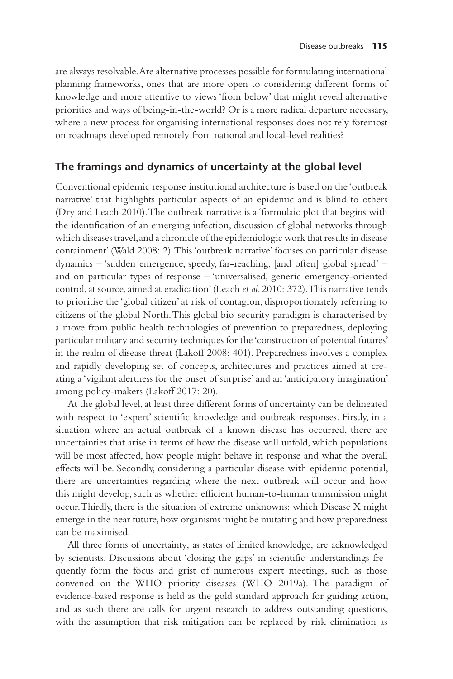are always resolvable. Are alternative processes possible for formulating international planning frameworks, ones that are more open to considering different forms of knowledge and more attentive to views 'from below' that might reveal alternative priorities and ways of being-in-the-world? Or is a more radical departure necessary, where a new process for organising international responses does not rely foremost on roadmaps developed remotely from national and local-level realities?

#### **The framings and dynamics of uncertainty at the global level**

Conventional epidemic response institutional architecture is based on the 'outbreak narrative' that highlights particular aspects of an epidemic and is blind to others (Dry and Leach 2010). The outbreak narrative is a 'formulaic plot that begins with the identification of an emerging infection, discussion of global networks through which diseases travel, and a chronicle of the epidemiologic work that results in disease containment' (Wald 2008: 2). This 'outbreak narrative' focuses on particular disease dynamics – 'sudden emergence, speedy, far-reaching, [and often] global spread' – and on particular types of response – 'universalised, generic emergency-oriented control, at source, aimed at eradication' (Leach *et al*. 2010: 372). This narrative tends to prioritise the 'global citizen' at risk of contagion, disproportionately referring to citizens of the global North. This global bio-security paradigm is characterised by a move from public health technologies of prevention to preparedness, deploying particular military and security techniques for the 'construction of potential futures' in the realm of disease threat (Lakoff 2008: 401). Preparedness involves a complex and rapidly developing set of concepts, architectures and practices aimed at creating a 'vigilant alertness for the onset of surprise' and an 'anticipatory imagination' among policy-makers (Lakoff 2017: 20).

At the global level, at least three different forms of uncertainty can be delineated with respect to 'expert' scientific knowledge and outbreak responses. Firstly, in a situation where an actual outbreak of a known disease has occurred, there are uncertainties that arise in terms of how the disease will unfold, which populations will be most affected, how people might behave in response and what the overall effects will be. Secondly, considering a particular disease with epidemic potential, there are uncertainties regarding where the next outbreak will occur and how this might develop, such as whether efficient human-to-human transmission might occur. Thirdly, there is the situation of extreme unknowns: which Disease X might emerge in the near future, how organisms might be mutating and how preparedness can be maximised.

All three forms of uncertainty, as states of limited knowledge, are acknowledged by scientists. Discussions about 'closing the gaps' in scientific understandings frequently form the focus and grist of numerous expert meetings, such as those convened on the WHO priority diseases (WHO 2019a). The paradigm of evidence-based response is held as the gold standard approach for guiding action, and as such there are calls for urgent research to address outstanding questions, with the assumption that risk mitigation can be replaced by risk elimination as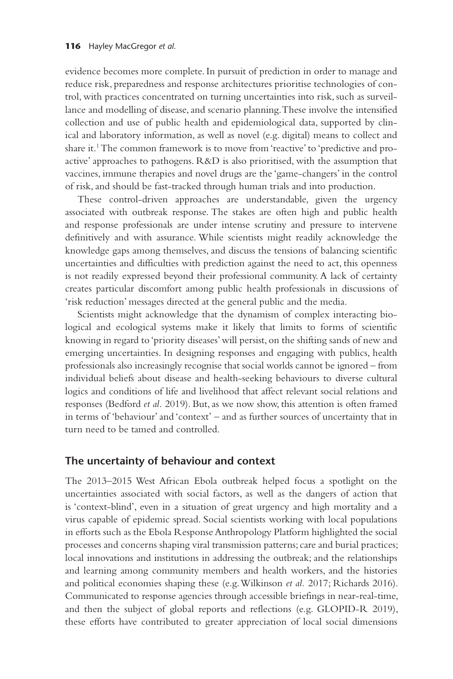evidence becomes more complete. In pursuit of prediction in order to manage and reduce risk, preparedness and response architectures prioritise technologies of control, with practices concentrated on turning uncertainties into risk, such as surveillance and modelling of disease, and scenario planning. These involve the intensified collection and use of public health and epidemiological data, supported by clinical and laboratory information, as well as novel (e.g. digital) means to collect and share it.1 The common framework is to move from 'reactive' to 'predictive and proactive' approaches to pathogens. R&D is also prioritised, with the assumption that vaccines, immune therapies and novel drugs are the 'game-changers' in the control of risk, and should be fast-tracked through human trials and into production.

These control-driven approaches are understandable, given the urgency associated with outbreak response. The stakes are often high and public health and response professionals are under intense scrutiny and pressure to intervene definitively and with assurance. While scientists might readily acknowledge the knowledge gaps among themselves, and discuss the tensions of balancing scientific uncertainties and difficulties with prediction against the need to act, this openness is not readily expressed beyond their professional community. A lack of certainty creates particular discomfort among public health professionals in discussions of 'risk reduction' messages directed at the general public and the media.

Scientists might acknowledge that the dynamism of complex interacting biological and ecological systems make it likely that limits to forms of scientific knowing in regard to 'priority diseases' will persist, on the shifting sands of new and emerging uncertainties. In designing responses and engaging with publics, health professionals also increasingly recognise that social worlds cannot be ignored – from individual beliefs about disease and health-seeking behaviours to diverse cultural logics and conditions of life and livelihood that affect relevant social relations and responses (Bedford *et al.* 2019). But, as we now show, this attention is often framed in terms of 'behaviour' and 'context' – and as further sources of uncertainty that in turn need to be tamed and controlled.

#### **The uncertainty of behaviour and context**

The 2013–2015 West African Ebola outbreak helped focus a spotlight on the uncertainties associated with social factors, as well as the dangers of action that is 'context-blind', even in a situation of great urgency and high mortality and a virus capable of epidemic spread. Social scientists working with local populations in efforts such as the Ebola Response Anthropology Platform highlighted the social processes and concerns shaping viral transmission patterns; care and burial practices; local innovations and institutions in addressing the outbreak; and the relationships and learning among community members and health workers, and the histories and political economies shaping these (e.g. Wilkinson *et al.* 2017; Richards 2016). Communicated to response agencies through accessible briefings in near-real-time, and then the subject of global reports and reflections (e.g. GLOPID-R 2019), these efforts have contributed to greater appreciation of local social dimensions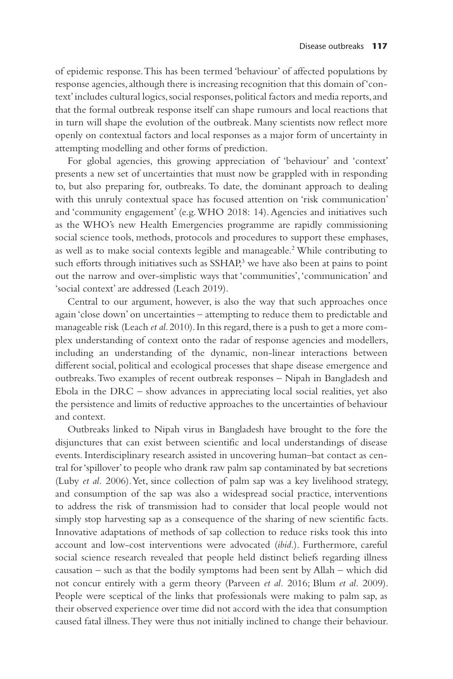of epidemic response. This has been termed 'behaviour' of affected populations by response agencies, although there is increasing recognition that this domain of 'context' includes cultural logics, social responses, political factors and media reports, and that the formal outbreak response itself can shape rumours and local reactions that in turn will shape the evolution of the outbreak. Many scientists now reflect more openly on contextual factors and local responses as a major form of uncertainty in attempting modelling and other forms of prediction.

For global agencies, this growing appreciation of 'behaviour' and 'context' presents a new set of uncertainties that must now be grappled with in responding to, but also preparing for, outbreaks. To date, the dominant approach to dealing with this unruly contextual space has focused attention on 'risk communication' and 'community engagement' (e.g. WHO 2018: 14). Agencies and initiatives such as the WHO's new Health Emergencies programme are rapidly commissioning social science tools, methods, protocols and procedures to support these emphases, as well as to make social contexts legible and manageable.2 While contributing to such efforts through initiatives such as SSHAP,<sup>3</sup> we have also been at pains to point out the narrow and over-simplistic ways that 'communities', 'communication' and 'social context' are addressed (Leach 2019).

Central to our argument, however, is also the way that such approaches once again 'close down' on uncertainties – attempting to reduce them to predictable and manageable risk (Leach *et al*. 2010). In this regard, there is a push to get a more complex understanding of context onto the radar of response agencies and modellers, including an understanding of the dynamic, non-linear interactions between different social, political and ecological processes that shape disease emergence and outbreaks. Two examples of recent outbreak responses – Nipah in Bangladesh and Ebola in the DRC – show advances in appreciating local social realities, yet also the persistence and limits of reductive approaches to the uncertainties of behaviour and context.

Outbreaks linked to Nipah virus in Bangladesh have brought to the fore the disjunctures that can exist between scientific and local understandings of disease events. Interdisciplinary research assisted in uncovering human–bat contact as central for 'spillover' to people who drank raw palm sap contaminated by bat secretions (Luby *et al.* 2006). Yet, since collection of palm sap was a key livelihood strategy, and consumption of the sap was also a widespread social practice, interventions to address the risk of transmission had to consider that local people would not simply stop harvesting sap as a consequence of the sharing of new scientific facts. Innovative adaptations of methods of sap collection to reduce risks took this into account and low-cost interventions were advocated (*ibid*.). Furthermore, careful social science research revealed that people held distinct beliefs regarding illness causation – such as that the bodily symptoms had been sent by Allah – which did not concur entirely with a germ theory (Parveen *et al.* 2016; Blum *et al.* 2009). People were sceptical of the links that professionals were making to palm sap, as their observed experience over time did not accord with the idea that consumption caused fatal illness. They were thus not initially inclined to change their behaviour.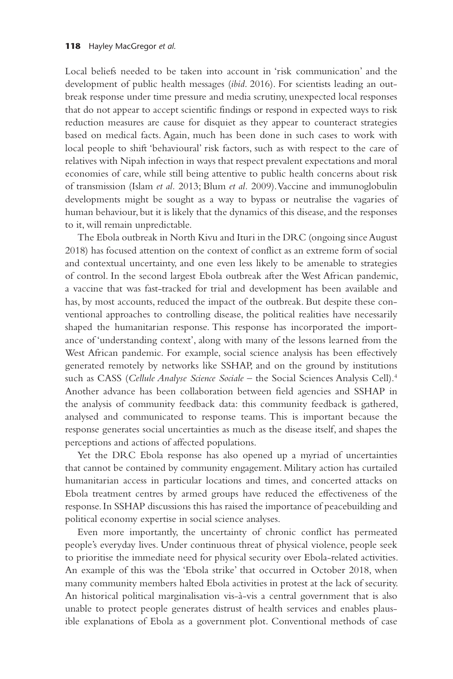Local beliefs needed to be taken into account in 'risk communication' and the development of public health messages (*ibid*. 2016). For scientists leading an outbreak response under time pressure and media scrutiny, unexpected local responses that do not appear to accept scientific findings or respond in expected ways to risk reduction measures are cause for disquiet as they appear to counteract strategies based on medical facts. Again, much has been done in such cases to work with local people to shift 'behavioural' risk factors, such as with respect to the care of relatives with Nipah infection in ways that respect prevalent expectations and moral economies of care, while still being attentive to public health concerns about risk of transmission (Islam *et al.* 2013; Blum *et al.* 2009). Vaccine and immunoglobulin developments might be sought as a way to bypass or neutralise the vagaries of human behaviour, but it is likely that the dynamics of this disease, and the responses to it, will remain unpredictable.

The Ebola outbreak in North Kivu and Ituri in the DRC (ongoing since August 2018) has focused attention on the context of conflict as an extreme form of social and contextual uncertainty, and one even less likely to be amenable to strategies of control. In the second largest Ebola outbreak after the West African pandemic, a vaccine that was fast-tracked for trial and development has been available and has, by most accounts, reduced the impact of the outbreak. But despite these conventional approaches to controlling disease, the political realities have necessarily shaped the humanitarian response. This response has incorporated the importance of 'understanding context', along with many of the lessons learned from the West African pandemic. For example, social science analysis has been effectively generated remotely by networks like SSHAP, and on the ground by institutions such as CASS (*Cellule Analyse Science Sociale* – the Social Sciences Analysis Cell).4 Another advance has been collaboration between field agencies and SSHAP in the analysis of community feedback data: this community feedback is gathered, analysed and communicated to response teams. This is important because the response generates social uncertainties as much as the disease itself, and shapes the perceptions and actions of affected populations.

Yet the DRC Ebola response has also opened up a myriad of uncertainties that cannot be contained by community engagement. Military action has curtailed humanitarian access in particular locations and times, and concerted attacks on Ebola treatment centres by armed groups have reduced the effectiveness of the response. In SSHAP discussions this has raised the importance of peacebuilding and political economy expertise in social science analyses.

Even more importantly, the uncertainty of chronic conflict has permeated people's everyday lives. Under continuous threat of physical violence, people seek to prioritise the immediate need for physical security over Ebola-related activities. An example of this was the 'Ebola strike' that occurred in October 2018, when many community members halted Ebola activities in protest at the lack of security. An historical political marginalisation vis-à-vis a central government that is also unable to protect people generates distrust of health services and enables plausible explanations of Ebola as a government plot. Conventional methods of case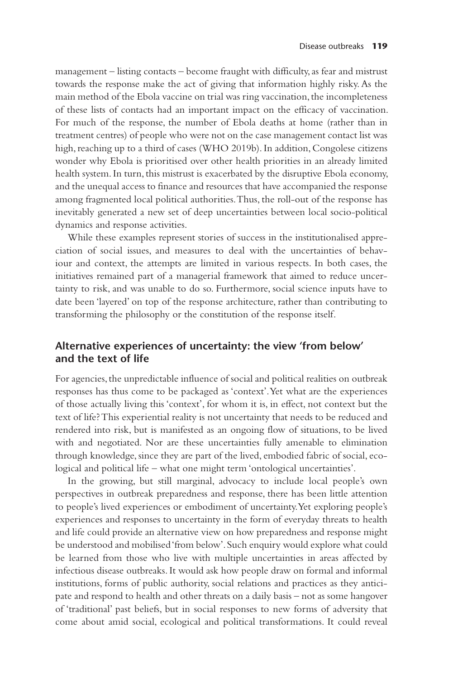management – listing contacts – become fraught with difficulty, as fear and mistrust towards the response make the act of giving that information highly risky. As the main method of the Ebola vaccine on trial was ring vaccination, the incompleteness of these lists of contacts had an important impact on the efficacy of vaccination. For much of the response, the number of Ebola deaths at home (rather than in treatment centres) of people who were not on the case management contact list was high, reaching up to a third of cases (WHO 2019b). In addition, Congolese citizens wonder why Ebola is prioritised over other health priorities in an already limited health system. In turn, this mistrust is exacerbated by the disruptive Ebola economy, and the unequal access to finance and resources that have accompanied the response among fragmented local political authorities. Thus, the roll-out of the response has inevitably generated a new set of deep uncertainties between local socio-political dynamics and response activities.

While these examples represent stories of success in the institutionalised appreciation of social issues, and measures to deal with the uncertainties of behaviour and context, the attempts are limited in various respects. In both cases, the initiatives remained part of a managerial framework that aimed to reduce uncertainty to risk, and was unable to do so. Furthermore, social science inputs have to date been 'layered' on top of the response architecture, rather than contributing to transforming the philosophy or the constitution of the response itself.

#### **Alternative experiences of uncertainty: the view 'from below' and the text of life**

For agencies, the unpredictable influence of social and political realities on outbreak responses has thus come to be packaged as 'context'. Yet what are the experiences of those actually living this 'context', for whom it is, in effect, not context but the text of life? This experiential reality is not uncertainty that needs to be reduced and rendered into risk, but is manifested as an ongoing flow of situations, to be lived with and negotiated. Nor are these uncertainties fully amenable to elimination through knowledge, since they are part of the lived, embodied fabric of social, ecological and political life – what one might term 'ontological uncertainties'.

In the growing, but still marginal, advocacy to include local people's own perspectives in outbreak preparedness and response, there has been little attention to people's lived experiences or embodiment of uncertainty. Yet exploring people's experiences and responses to uncertainty in the form of everyday threats to health and life could provide an alternative view on how preparedness and response might be understood and mobilised 'from below'. Such enquiry would explore what could be learned from those who live with multiple uncertainties in areas affected by infectious disease outbreaks. It would ask how people draw on formal and informal institutions, forms of public authority, social relations and practices as they anticipate and respond to health and other threats on a daily basis – not as some hangover of 'traditional' past beliefs, but in social responses to new forms of adversity that come about amid social, ecological and political transformations. It could reveal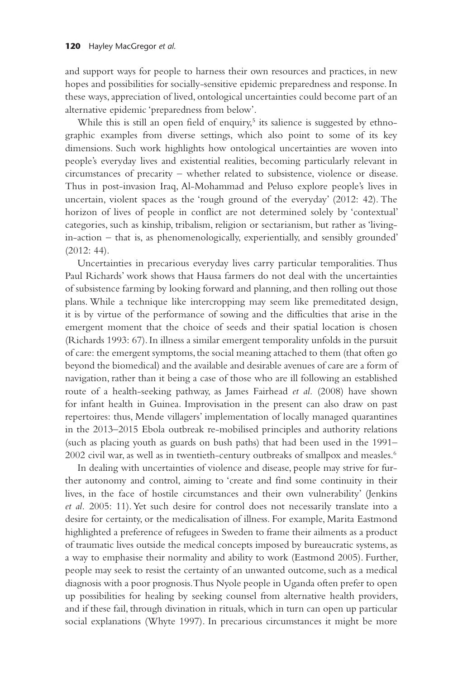and support ways for people to harness their own resources and practices, in new hopes and possibilities for socially-sensitive epidemic preparedness and response. In these ways, appreciation of lived, ontological uncertainties could become part of an alternative epidemic 'preparedness from below'.

While this is still an open field of enquiry,<sup>5</sup> its salience is suggested by ethnographic examples from diverse settings, which also point to some of its key dimensions. Such work highlights how ontological uncertainties are woven into people's everyday lives and existential realities, becoming particularly relevant in circumstances of precarity – whether related to subsistence, violence or disease. Thus in post-invasion Iraq, Al-Mohammad and Peluso explore people's lives in uncertain, violent spaces as the 'rough ground of the everyday' (2012: 42). The horizon of lives of people in conflict are not determined solely by 'contextual' categories, such as kinship, tribalism, religion or sectarianism, but rather as 'livingin-action – that is, as phenomenologically, experientially, and sensibly grounded' (2012: 44).

Uncertainties in precarious everyday lives carry particular temporalities. Thus Paul Richards' work shows that Hausa farmers do not deal with the uncertainties of subsistence farming by looking forward and planning, and then rolling out those plans. While a technique like intercropping may seem like premeditated design, it is by virtue of the performance of sowing and the difficulties that arise in the emergent moment that the choice of seeds and their spatial location is chosen (Richards 1993: 67). In illness a similar emergent temporality unfolds in the pursuit of care: the emergent symptoms, the social meaning attached to them (that often go beyond the biomedical) and the available and desirable avenues of care are a form of navigation, rather than it being a case of those who are ill following an established route of a health-seeking pathway, as James Fairhead *et al.* (2008) have shown for infant health in Guinea. Improvisation in the present can also draw on past repertoires: thus, Mende villagers' implementation of locally managed quarantines in the 2013–2015 Ebola outbreak re-mobilised principles and authority relations (such as placing youth as guards on bush paths) that had been used in the 1991– 2002 civil war, as well as in twentieth-century outbreaks of smallpox and measles.<sup>6</sup>

In dealing with uncertainties of violence and disease, people may strive for further autonomy and control, aiming to 'create and find some continuity in their lives, in the face of hostile circumstances and their own vulnerability' (Jenkins *et al.* 2005: 11). Yet such desire for control does not necessarily translate into a desire for certainty, or the medicalisation of illness. For example, Marita Eastmond highlighted a preference of refugees in Sweden to frame their ailments as a product of traumatic lives outside the medical concepts imposed by bureaucratic systems, as a way to emphasise their normality and ability to work (Eastmond 2005). Further, people may seek to resist the certainty of an unwanted outcome, such as a medical diagnosis with a poor prognosis. Thus Nyole people in Uganda often prefer to open up possibilities for healing by seeking counsel from alternative health providers, and if these fail, through divination in rituals, which in turn can open up particular social explanations (Whyte 1997). In precarious circumstances it might be more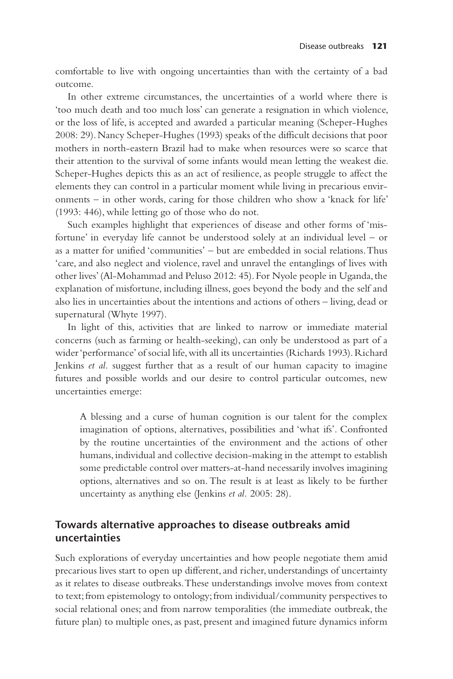comfortable to live with ongoing uncertainties than with the certainty of a bad outcome.

In other extreme circumstances, the uncertainties of a world where there is 'too much death and too much loss' can generate a resignation in which violence, or the loss of life, is accepted and awarded a particular meaning (Scheper-Hughes 2008: 29). Nancy Scheper-Hughes (1993) speaks of the difficult decisions that poor mothers in north-eastern Brazil had to make when resources were so scarce that their attention to the survival of some infants would mean letting the weakest die. Scheper-Hughes depicts this as an act of resilience, as people struggle to affect the elements they can control in a particular moment while living in precarious environments – in other words, caring for those children who show a 'knack for life' (1993: 446), while letting go of those who do not.

Such examples highlight that experiences of disease and other forms of 'misfortune' in everyday life cannot be understood solely at an individual level – or as a matter for unified 'communities' – but are embedded in social relations. Thus 'care, and also neglect and violence, ravel and unravel the entanglings of lives with other lives' (Al-Mohammad and Peluso 2012: 45). For Nyole people in Uganda, the explanation of misfortune, including illness, goes beyond the body and the self and also lies in uncertainties about the intentions and actions of others – living, dead or supernatural (Whyte 1997).

In light of this, activities that are linked to narrow or immediate material concerns (such as farming or health-seeking), can only be understood as part of a wider 'performance' of social life, with all its uncertainties (Richards 1993). Richard Jenkins *et al.* suggest further that as a result of our human capacity to imagine futures and possible worlds and our desire to control particular outcomes, new uncertainties emerge:

A blessing and a curse of human cognition is our talent for the complex imagination of options, alternatives, possibilities and 'what ifs'. Confronted by the routine uncertainties of the environment and the actions of other humans, individual and collective decision-making in the attempt to establish some predictable control over matters-at-hand necessarily involves imagining options, alternatives and so on. The result is at least as likely to be further uncertainty as anything else (Jenkins *et al.* 2005: 28).

#### **Towards alternative approaches to disease outbreaks amid uncertainties**

Such explorations of everyday uncertainties and how people negotiate them amid precarious lives start to open up different, and richer, understandings of uncertainty as it relates to disease outbreaks. These understandings involve moves from context to text; from epistemology to ontology; from individual/community perspectives to social relational ones; and from narrow temporalities (the immediate outbreak, the future plan) to multiple ones, as past, present and imagined future dynamics inform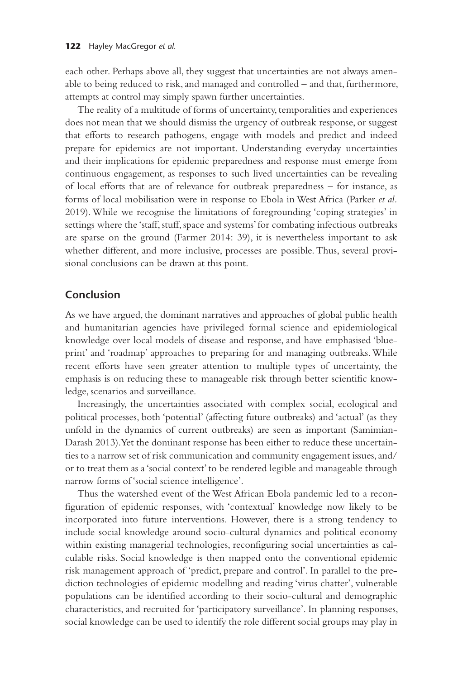each other. Perhaps above all, they suggest that uncertainties are not always amenable to being reduced to risk, and managed and controlled – and that, furthermore, attempts at control may simply spawn further uncertainties.

The reality of a multitude of forms of uncertainty, temporalities and experiences does not mean that we should dismiss the urgency of outbreak response, or suggest that efforts to research pathogens, engage with models and predict and indeed prepare for epidemics are not important. Understanding everyday uncertainties and their implications for epidemic preparedness and response must emerge from continuous engagement, as responses to such lived uncertainties can be revealing of local efforts that are of relevance for outbreak preparedness – for instance, as forms of local mobilisation were in response to Ebola in West Africa (Parker *et al.* 2019). While we recognise the limitations of foregrounding 'coping strategies' in settings where the 'staff, stuff, space and systems' for combating infectious outbreaks are sparse on the ground (Farmer 2014: 39), it is nevertheless important to ask whether different, and more inclusive, processes are possible. Thus, several provisional conclusions can be drawn at this point.

#### **Conclusion**

As we have argued, the dominant narratives and approaches of global public health and humanitarian agencies have privileged formal science and epidemiological knowledge over local models of disease and response, and have emphasised 'blueprint' and 'roadmap' approaches to preparing for and managing outbreaks. While recent efforts have seen greater attention to multiple types of uncertainty, the emphasis is on reducing these to manageable risk through better scientific knowledge, scenarios and surveillance.

Increasingly, the uncertainties associated with complex social, ecological and political processes, both 'potential' (affecting future outbreaks) and 'actual' (as they unfold in the dynamics of current outbreaks) are seen as important (Samimian-Darash 2013). Yet the dominant response has been either to reduce these uncertainties to a narrow set of risk communication and community engagement issues, and/ or to treat them as a 'social context' to be rendered legible and manageable through narrow forms of 'social science intelligence'.

Thus the watershed event of the West African Ebola pandemic led to a reconfiguration of epidemic responses, with 'contextual' knowledge now likely to be incorporated into future interventions. However, there is a strong tendency to include social knowledge around socio-cultural dynamics and political economy within existing managerial technologies, reconfiguring social uncertainties as calculable risks. Social knowledge is then mapped onto the conventional epidemic risk management approach of 'predict, prepare and control'. In parallel to the prediction technologies of epidemic modelling and reading 'virus chatter', vulnerable populations can be identified according to their socio-cultural and demographic characteristics, and recruited for 'participatory surveillance'. In planning responses, social knowledge can be used to identify the role different social groups may play in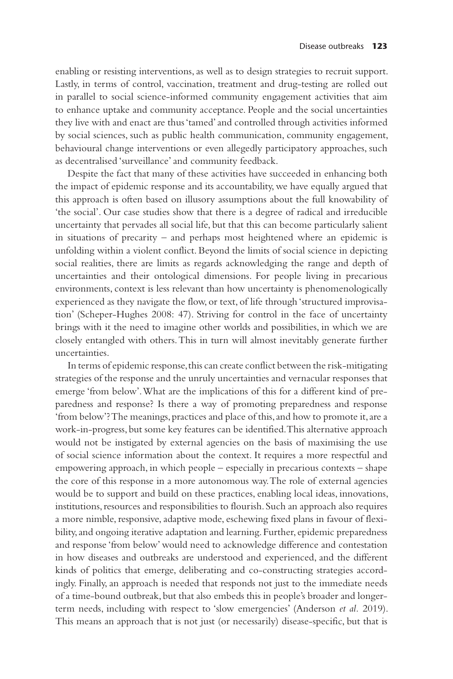enabling or resisting interventions, as well as to design strategies to recruit support. Lastly, in terms of control, vaccination, treatment and drug-testing are rolled out in parallel to social science-informed community engagement activities that aim to enhance uptake and community acceptance. People and the social uncertainties they live with and enact are thus 'tamed' and controlled through activities informed by social sciences, such as public health communication, community engagement, behavioural change interventions or even allegedly participatory approaches, such as decentralised 'surveillance' and community feedback.

Despite the fact that many of these activities have succeeded in enhancing both the impact of epidemic response and its accountability, we have equally argued that this approach is often based on illusory assumptions about the full knowability of 'the social'. Our case studies show that there is a degree of radical and irreducible uncertainty that pervades all social life, but that this can become particularly salient in situations of precarity – and perhaps most heightened where an epidemic is unfolding within a violent conflict. Beyond the limits of social science in depicting social realities, there are limits as regards acknowledging the range and depth of uncertainties and their ontological dimensions. For people living in precarious environments, context is less relevant than how uncertainty is phenomenologically experienced as they navigate the flow, or text, of life through 'structured improvisation' (Scheper-Hughes 2008: 47). Striving for control in the face of uncertainty brings with it the need to imagine other worlds and possibilities, in which we are closely entangled with others. This in turn will almost inevitably generate further uncertainties.

In terms of epidemic response, this can create conflict between the risk-mitigating strategies of the response and the unruly uncertainties and vernacular responses that emerge 'from below'. What are the implications of this for a different kind of preparedness and response? Is there a way of promoting preparedness and response 'from below'? The meanings, practices and place of this, and how to promote it, are a work-in-progress, but some key features can be identified. This alternative approach would not be instigated by external agencies on the basis of maximising the use of social science information about the context. It requires a more respectful and empowering approach, in which people – especially in precarious contexts – shape the core of this response in a more autonomous way. The role of external agencies would be to support and build on these practices, enabling local ideas, innovations, institutions, resources and responsibilities to flourish. Such an approach also requires a more nimble, responsive, adaptive mode, eschewing fixed plans in favour of flexibility, and ongoing iterative adaptation and learning. Further, epidemic preparedness and response 'from below' would need to acknowledge difference and contestation in how diseases and outbreaks are understood and experienced, and the different kinds of politics that emerge, deliberating and co-constructing strategies accordingly. Finally, an approach is needed that responds not just to the immediate needs of a time-bound outbreak, but that also embeds this in people's broader and longerterm needs, including with respect to 'slow emergencies' (Anderson *et al.* 2019). This means an approach that is not just (or necessarily) disease-specific, but that is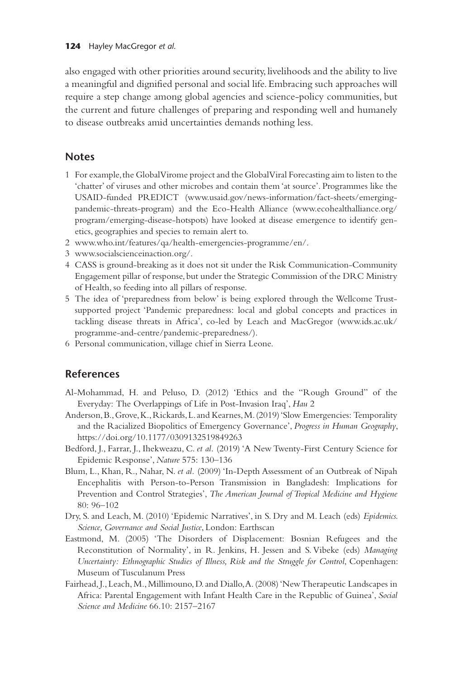also engaged with other priorities around security, livelihoods and the ability to live a meaningful and dignified personal and social life. Embracing such approaches will require a step change among global agencies and science-policy communities, but the current and future challenges of preparing and responding well and humanely to disease outbreaks amid uncertainties demands nothing less.

### **Notes**

- 1 For example, the Global Virome project and the Global Viral Forecasting aim to listen to the 'chatter' of viruses and other microbes and contain them 'at source'. Programmes like the USAID-funded PREDICT [\(www.usaid.gov/news-information/fact-sheets/emerging](http://www.usaid.gov)[pandemic-threats-program\)](http://www.usaid.gov) and the Eco-Health Alliance [\(www.ecohealthalliance.org/](http://www.ecohealthalliance.org) [program/emerging-disease-hotspots](http://www.ecohealthalliance.org)) have looked at disease emergence to identify genetics, geographies and species to remain alert to.
- 2 [www.who.int/features/qa/health-emergencies-programme/en/](http://www.who.int).
- 3 [www.socialscienceinaction.org/](http://www.socialscienceinaction.org).
- 4 CASS is ground-breaking as it does not sit under the Risk Communication-Community Engagement pillar of response, but under the Strategic Commission of the DRC Ministry of Health, so feeding into all pillars of response.
- 5 The idea of 'preparedness from below' is being explored through the Wellcome Trustsupported project 'Pandemic preparedness: local and global concepts and practices in tackling disease threats in Africa', co-led by Leach and MacGregor [\(www.ids.ac.uk/](http://www.ids.ac.uk) [programme-and-centre/pandemic-preparedness/\)](http://www.ids.ac.uk).
- 6 Personal communication, village chief in Sierra Leone.

#### **References**

- Al-Mohammad, H. and Peluso, D. (2012) 'Ethics and the "Rough Ground" of the Everyday: The Overlappings of Life in Post-Invasion Iraq', *Hau* 2
- Anderson, B., Grove, K., Rickards, L. and Kearnes, M. (2019) 'Slow Emergencies: Temporality and the Racialized Biopolitics of Emergency Governance', *Progress in Human Geography*, [https://doi.org/10.1177/0309132519849263](https://doi.org)
- Bedford, J., Farrar, J., Ihekweazu, C. *et al.* (2019) 'A New Twenty-First Century Science for Epidemic Response', *Nature* 575: 130–136
- Blum, L., Khan, R., Nahar, N. *et al.* (2009) 'In-Depth Assessment of an Outbreak of Nipah Encephalitis with Person-to-Person Transmission in Bangladesh: Implications for Prevention and Control Strategies', *The American Journal of Tropical Medicine and Hygiene* 80: 96–102
- Dry, S. and Leach, M. (2010) 'Epidemic Narratives', in S. Dry and M. Leach (eds) *Epidemics. Science, Governance and Social Justice*, London: Earthscan
- Eastmond, M. (2005) 'The Disorders of Displacement: Bosnian Refugees and the Reconstitution of Normality', in R. Jenkins, H. Jessen and S. Vibeke (eds) *Managing Uncertainty: Ethnographic Studies of Illness, Risk and the Struggle for Control*, Copenhagen: Museum of Tusculanum Press
- Fairhead, J., Leach, M., Millimouno, D. and Diallo, A. (2008) 'New Therapeutic Landscapes in Africa: Parental Engagement with Infant Health Care in the Republic of Guinea', *Social Science and Medicine* 66.10: 2157–2167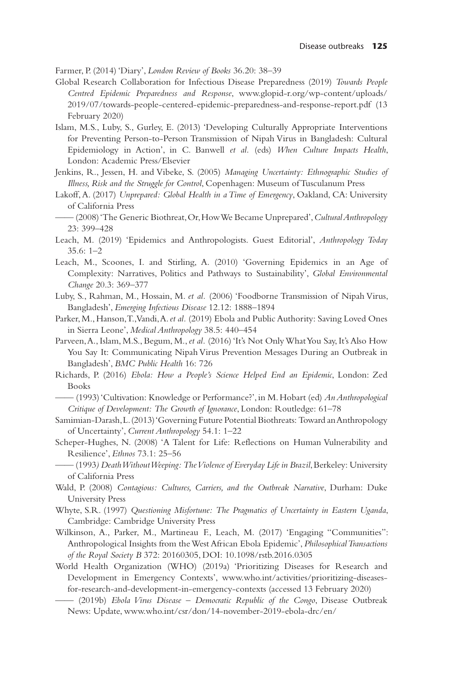Farmer, P. (2014) 'Diary', *London Review of Books* 36.20: 38–39

- Global Research Collaboration for Infectious Disease Preparedness (2019) *Towards People Centred Epidemic Preparedness and Response*, [www.glopid-r.org/wp-content/uploads/](http://www.glopid-r.org) [2019/07/towards-people-centered-epidemic-preparedness-and-response-report.pdf](http://www.glopid-r.org) (13 February 2020)
- Islam, M.S., Luby, S., Gurley, E. (2013) 'Developing Culturally Appropriate Interventions for Preventing Person-to-Person Transmission of Nipah Virus in Bangladesh: Cultural Epidemiology in Action', in C. Banwell *et al.* (eds) *When Culture Impacts Health*, London: Academic Press/Elsevier
- Jenkins, R., Jessen, H. and Vibeke, S. (2005) *Managing Uncertainty: Ethnographic Studies of Illness, Risk and the Struggle for Control*, Copenhagen: Museum of Tusculanum Press
- Lakoff, A. (2017) *Unprepared: Global Health in a Time of Emergency*, Oakland, CA: University of California Press
- —— (2008) 'The Generic Biothreat, Or, How We Became Unprepared', *Cultural Anthropology* 23: 399–428
- Leach, M. (2019) 'Epidemics and Anthropologists. Guest Editorial', *Anthropology Today* 35.6: 1–2
- Leach, M., Scoones, I. and Stirling, A. (2010) 'Governing Epidemics in an Age of Complexity: Narratives, Politics and Pathways to Sustainability', *Global Environmental Change* 20.3: 369–377
- Luby, S., Rahman, M., Hossain, M. *et al.* (2006) 'Foodborne Transmission of Nipah Virus, Bangladesh', *Emerging Infectious Disease* 12.12: 1888–1894
- Parker, M., Hanson, T., Vandi, A. *et al.* (2019) Ebola and Public Authority: Saving Loved Ones in Sierra Leone', *Medical Anthropology* 38.5: 440–454
- Parveen, A., Islam, M.S., Begum, M., *et al.* (2016) 'It's Not Only What You Say, It's Also How You Say It: Communicating Nipah Virus Prevention Messages During an Outbreak in Bangladesh', *BMC Public Health* 16: 726
- Richards, P. (2016) *Ebola: How a People's Science Helped End an Epidemic*, London: Zed Books
- —— (1993) 'Cultivation: Knowledge or Performance?', in M. Hobart (ed) *An Anthropological Critique of Development: The Growth of Ignorance*, London: Routledge: 61–78
- Samimian-Darash, L. (2013) 'Governing Future Potential Biothreats: Toward an Anthropology of Uncertainty', *Current Anthropology* 54.1: 1–22

Scheper-Hughes, N. (2008) 'A Talent for Life: Reflections on Human Vulnerability and Resilience', *Ethnos* 73.1: 25–56

- —— (1993*) Death Without Weeping: The Violence of Everyday Life in Brazil*, Berkeley: University of California Press
- Wald, P. (2008) *Contagious: Cultures, Carriers, and the Outbreak Narrative*, Durham: Duke University Press
- Whyte, S.R. (1997) *Questioning Misfortune: The Pragmatics of Uncertainty in Eastern Uganda*, Cambridge: Cambridge University Press
- Wilkinson, A., Parker, M., Martineau F., Leach, M. (2017) 'Engaging "Communities": Anthropological Insights from the West African Ebola Epidemic', *Philosophical Transactions of the Royal Society B* 372: 20160305, DOI: 10.1098/rstb.2016.0305
- World Health Organization (WHO) (2019a) 'Prioritizing Diseases for Research and Development in Emergency Contexts', [www.who.int/activities/prioritizing-diseases](http://www.who.int)[for-research-and-development-in-emergency-contexts](http://www.who.int) (accessed 13 February 2020)
- —— (2019b) *Ebola Virus Disease Democratic Republic of the Congo*, Disease Outbreak News: Update, [www.who.int/csr/don/14-november-2019-ebola-drc/en/](http://www.who.int)